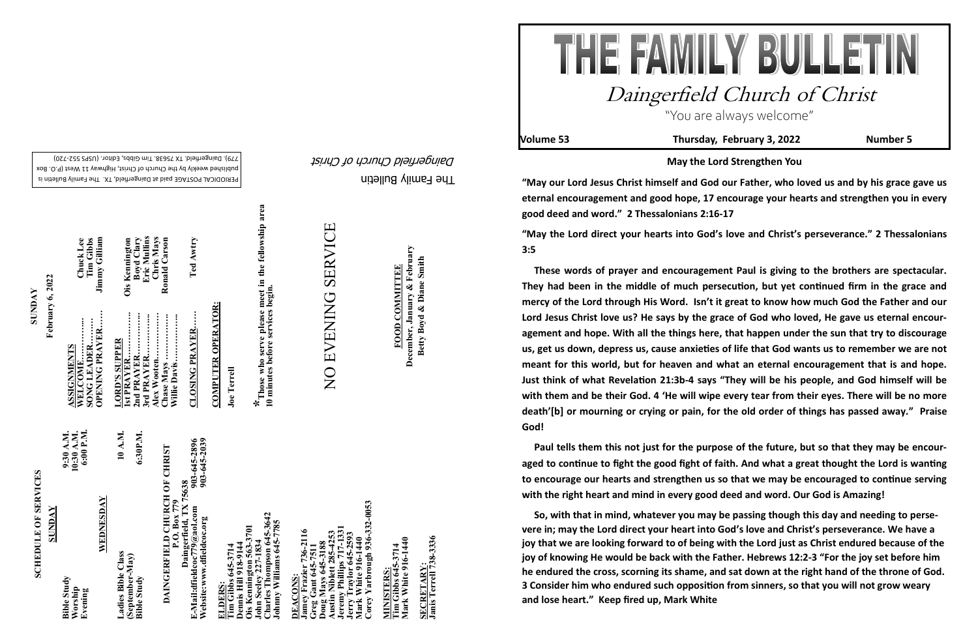The Family Bulletin Daingerfield Church of Christ

PERIODICAL POSTAGE paid at Daingerfield, TX. The Family Bulletin is published weekly by the Church of Christ, Highway 11 West (P.O. Box

# **SCHEDULE OF SERVICES SCHEDULE OF SERVICES**

720) - 779). Daingerfield. TX 75638. Tim Gibbs, Editor. (USPS 552

# 903-645-2896<br>903-645-2039 **E-Mail:dfieldcoc779@aol.com 903-645-2896** DAINGERFIELD CHURCH OF CHRIST **DAINGERFIELD CHURCH OF CHRIST P.O. Box 779**<br>Daingerfield, TX 75638 **Daingerfield, TX 75638**

**Website:www.dfieldcoc.org 903-645-2039**  E-Mail:dfieldcoc779@aol.com<br>Website:www.dfieldcoc.org

|                      | 6:00 P.M.<br>10:30 A.M.<br>9:30 A.M.     |           | 10 A.M.            | 6:30P.M.                              |  |
|----------------------|------------------------------------------|-----------|--------------------|---------------------------------------|--|
| <b><i>SUNDAY</i></b> | <b>Bible Study</b><br>Worship<br>Evening | WEDNESDAY | Ladies Bible Class | (September-May)<br><b>Bible Study</b> |  |

MINISTERS:<br>Tim Gibbs 645-3714<br>Mark White 916-1440 **Mark White 916-1440 Tim Gibbs 645-3714 MINISTERS:**

SECRETARY:<br>Janis Terrell 738-3336 **Janis Terrell 738-3336 SECRETARY:**

**Alex Wooten……………. Chris Mays 1st PRAYER……………. Ois Kennington OPENING PRAYER…… Jimmy Gilliam 2nd PRAYER…………... Boyd Clary 3rd PRAYER…………... Eric Mullins SONG LEADER……… Tim Gibbs** WELCOME................<br>SONG LEADER........<br>OPENING PRAYER... **SUPPER LORD'S SUPPER**  Chase Mays ...<br>Willie Davis.... rd PRAYER **ORD'**<br>st PRA  $\mathbb{R}$  $\mathbf{r}$ 

Ois Kennington<br>Boyd Clary<br>Eric Mullins **Chase Mays ……………. Ronald Carson CLOSING PRAYER…… Ted Awtry**  Chris Mays<br>Ronald Carson Ted Awtry **Willie Davis…………….. CLOSING PRAYER.....** 

> **Charles Thompson 645-3642**  Tharles Thompson 645-364<br>Ohnny Williams 645-7785 **Johnny Williams 645-7785**  3701 **Ois Kennington 563-3701 Fim Grows**<br>Demis Hill 918–2<br>Ois Kemnington 563-37<br><sup>2</sup>-dev 227-1834 **John Seeley 227-1834 Tim Gibbs 645-3714 Dennis Hill 918-9144**

 $-332 - 0053$ **Corey Yarbrough 936-332-0053 Jeremy Phillips 717-1331 Jamey Frazier 736-2116**  736-2116 **Austin Niblett 285-4253 Jerry Traylor 645-2593** XXXXXXXXXXXXXXX<br>Mark White 916-1440<br>Corey Yarbrough 936 **Mark White 916-1440 Greg Gant 645-7511 Doug Mays 645-3188** raylor <u>DEACONS:</u><br>Jamey Frazie **DEACONS:**  rry<br>lark reg

THE FAMILY BULLETIN Daingerfield Church of Christ "You are always welcome" **Volume 53 Thursday, February 3, 2022 Number 5**



**SUNDAY**

**February 6, 2022**

February 6, 2022

**ASSIGNMENTS** 

**SIGNMENTS** 

**WELCOME…………... Chuck Lee** 

Chuck Lee<br>Tim Gibbs<br>Jimmy Gilliam

**COMPUTER OPERATOR:**

**COMPUTER OPERATOR:** 

**Joe Terrell**

**\*Those who serve please meet in the fellowship area** 

in the fellowship area

**10 minutes before services begin.** 

*\** Those who serve please meet i<br>10 minutes before services begin.

**December, January & February FOOD COMMITTEE**<br>December, January & February Betty Boyd & Diane Smith **Betty Boyd & Diane Smith FOOD COMMITTEE**

**May the Lord Strengthen You**

**"May our Lord Jesus Christ himself and God our Father, who loved us and by his grace gave us eternal encouragement and good hope, 17 encourage your hearts and strengthen you in every good deed and word." 2 Thessalonians 2:16-17 "May the Lord direct your hearts into God's love and Christ's perseverance." 2 Thessalonians 3:5**

 **These words of prayer and encouragement Paul is giving to the brothers are spectacular. They had been in the middle of much persecution, but yet continued firm in the grace and mercy of the Lord through His Word. Isn't it great to know how much God the Father and our Lord Jesus Christ love us? He says by the grace of God who loved, He gave us eternal encouragement and hope. With all the things here, that happen under the sun that try to discourage us, get us down, depress us, cause anxieties of life that God wants us to remember we are not meant for this world, but for heaven and what an eternal encouragement that is and hope. Just think of what Revelation 21:3b-4 says "They will be his people, and God himself will be with them and be their God. 4 'He will wipe every tear from their eyes. There will be no more death'[b] or mourning or crying or pain, for the old order of things has passed away." Praise God!** 

 **Paul tells them this not just for the purpose of the future, but so that they may be encouraged to continue to fight the good fight of faith. And what a great thought the Lord is wanting to encourage our hearts and strengthen us so that we may be encouraged to continue serving with the right heart and mind in every good deed and word. Our God is Amazing!**

 **So, with that in mind, whatever you may be passing though this day and needing to persevere in; may the Lord direct your heart into God's love and Christ's perseverance. We have a joy that we are looking forward to of being with the Lord just as Christ endured because of the joy of knowing He would be back with the Father. Hebrews 12:2-3 "For the joy set before him he endured the cross, scorning its shame, and sat down at the right hand of the throne of God. 3 Consider him who endured such opposition from sinners, so that you will not grow weary and lose heart." Keep fired up, Mark White**

**SERVICE** NO EVENING SERVICE NO EVENING